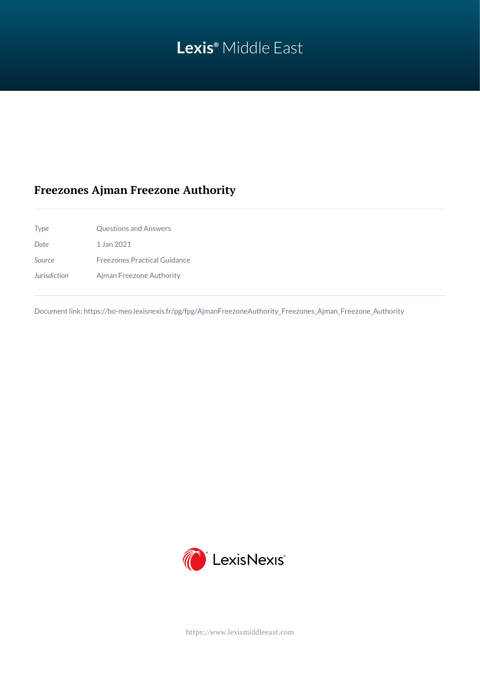# **Lexis®** Middle East

## **Freezones Ajman Freezone Authority**

*Type* Questions and Answers *Date* 1 Jan 2021 *Source* Freezones Practical Guidance *Jurisdiction* Ajman Freezone Authority

Document link: [https://bo-meo.lexisnexis.fr/pg/fpg/AjmanFreezoneAuthority\\_Freezones\\_Ajman\\_Freezone\\_Authority](https://bo-meo.lexisnexis.fr/pg/fpg/AjmanFreezoneAuthority_Freezones_Ajman_Freezone_Authority)



<https://www.lexismiddleeast.com>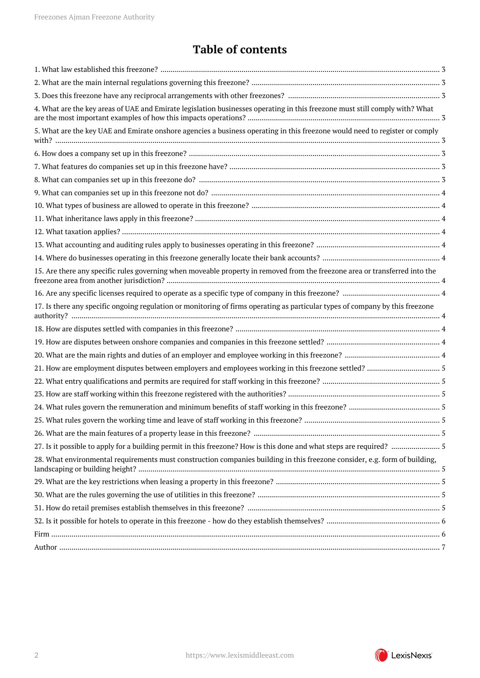## **Table of contents**

| 4. What are the key areas of UAE and Emirate legislation businesses operating in this freezone must still comply with? What   |
|-------------------------------------------------------------------------------------------------------------------------------|
| 5. What are the key UAE and Emirate onshore agencies a business operating in this freezone would need to register or comply   |
|                                                                                                                               |
|                                                                                                                               |
|                                                                                                                               |
|                                                                                                                               |
|                                                                                                                               |
|                                                                                                                               |
|                                                                                                                               |
|                                                                                                                               |
|                                                                                                                               |
| 15. Are there any specific rules governing when moveable property in removed from the freezone area or transferred into the   |
|                                                                                                                               |
| 17. Is there any specific ongoing regulation or monitoring of firms operating as particular types of company by this freezone |
|                                                                                                                               |
|                                                                                                                               |
|                                                                                                                               |
|                                                                                                                               |
|                                                                                                                               |
|                                                                                                                               |
|                                                                                                                               |
|                                                                                                                               |
|                                                                                                                               |
|                                                                                                                               |
| 28. What environmental requirements must construction companies building in this freezone consider, e.g. form of building,    |
|                                                                                                                               |
|                                                                                                                               |
|                                                                                                                               |
|                                                                                                                               |
|                                                                                                                               |
|                                                                                                                               |

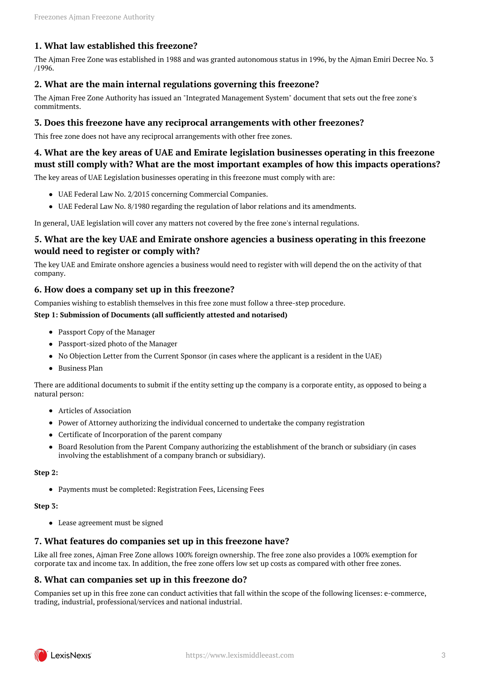## <span id="page-2-0"></span>**1. What law established this freezone?**

The Ajman Free Zone was established in 1988 and was granted autonomous status in 1996, by the Ajman Emiri Decree No. 3 /1996.

## <span id="page-2-1"></span>**2. What are the main internal regulations governing this freezone?**

The Ajman Free Zone Authority has issued an "Integrated Management System" document that sets out the free zone's commitments.

#### <span id="page-2-2"></span>**3. Does this freezone have any reciprocal arrangements with other freezones?**

This free zone does not have any reciprocal arrangements with other free zones.

## <span id="page-2-3"></span>**4. What are the key areas of UAE and Emirate legislation businesses operating in this freezone must still comply with? What are the most important examples of how this impacts operations?**

The key areas of UAE Legislation businesses operating in this freezone must comply with are:

- UAE Federal Law No. 2/2015 concerning Commercial Companies.
- UAE Federal Law No. 8/1980 regarding the regulation of labor relations and its amendments.

In general, UAE legislation will cover any matters not covered by the free zone's internal regulations.

### <span id="page-2-4"></span>**5. What are the key UAE and Emirate onshore agencies a business operating in this freezone would need to register or comply with?**

The key UAE and Emirate onshore agencies a business would need to register with will depend the on the activity of that company.

#### <span id="page-2-5"></span>**6. How does a company set up in this freezone?**

Companies wishing to establish themselves in this free zone must follow a three-step procedure.

## **Step 1: Submission of Documents (all sufficiently attested and notarised)**

- Passport Copy of the Manager
- Passport-sized photo of the Manager
- No Objection Letter from the Current Sponsor (in cases where the applicant is a resident in the UAE)
- Business Plan

There are additional documents to submit if the entity setting up the company is a corporate entity, as opposed to being a natural person:

- Articles of Association
- Power of Attorney authorizing the individual concerned to undertake the company registration
- Certificate of Incorporation of the parent company
- Board Resolution from the Parent Company authorizing the establishment of the branch or subsidiary (in cases involving the establishment of a company branch or subsidiary).

#### **Step 2:**

Payments must be completed: Registration Fees, Licensing Fees

#### **Step 3:**

Lease agreement must be signed

## <span id="page-2-6"></span>**7. What features do companies set up in this freezone have?**

Like all free zones, Ajman Free Zone allows 100% foreign ownership. The free zone also provides a 100% exemption for corporate tax and income tax. In addition, the free zone offers low set up costs as compared with other free zones.

#### <span id="page-2-7"></span>**8. What can companies set up in this freezone do?**

Companies set up in this free zone can conduct activities that fall within the scope of the following licenses: e-commerce, trading, industrial, professional/services and national industrial.

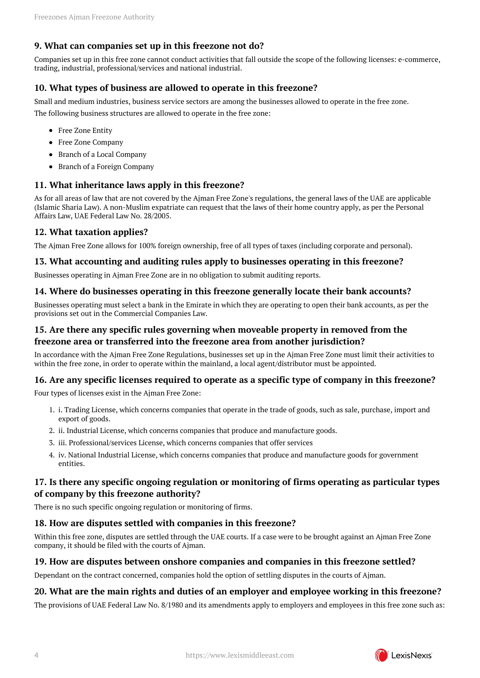## <span id="page-3-0"></span>**9. What can companies set up in this freezone not do?**

Companies set up in this free zone cannot conduct activities that fall outside the scope of the following licenses: e-commerce, trading, industrial, professional/services and national industrial.

## <span id="page-3-1"></span>**10. What types of business are allowed to operate in this freezone?**

Small and medium industries, business service sectors are among the businesses allowed to operate in the free zone.

The following business structures are allowed to operate in the free zone:

- Free Zone Entity
- Free Zone Company
- Branch of a Local Company
- Branch of a Foreign Company

#### <span id="page-3-2"></span>**11. What inheritance laws apply in this freezone?**

As for all areas of law that are not covered by the Ajman Free Zone's regulations, the general laws of the UAE are applicable (Islamic Sharia Law). A non-Muslim expatriate can request that the laws of their home country apply, as per the Personal Affairs Law, UAE Federal Law No. 28/2005.

#### <span id="page-3-3"></span>**12. What taxation applies?**

The Ajman Free Zone allows for 100% foreign ownership, free of all types of taxes (including corporate and personal).

#### <span id="page-3-4"></span>**13. What accounting and auditing rules apply to businesses operating in this freezone?**

Businesses operating in Ajman Free Zone are in no obligation to submit auditing reports.

## <span id="page-3-5"></span>**14. Where do businesses operating in this freezone generally locate their bank accounts?**

Businesses operating must select a bank in the Emirate in which they are operating to open their bank accounts, as per the provisions set out in the Commercial Companies Law.

## <span id="page-3-6"></span>**15. Are there any specific rules governing when moveable property in removed from the freezone area or transferred into the freezone area from another jurisdiction?**

In accordance with the Ajman Free Zone Regulations, businesses set up in the Ajman Free Zone must limit their activities to within the free zone, in order to operate within the mainland, a local agent/distributor must be appointed.

## <span id="page-3-7"></span>**16. Are any specific licenses required to operate as a specific type of company in this freezone?**

Four types of licenses exist in the Ajman Free Zone:

- 1. i. Trading License, which concerns companies that operate in the trade of goods, such as sale, purchase, import and export of goods.
- 2. ii. Industrial License, which concerns companies that produce and manufacture goods.
- 3. iii. Professional/services License, which concerns companies that offer services
- 4. iv. National Industrial License, which concerns companies that produce and manufacture goods for government entities.

### <span id="page-3-8"></span>**17. Is there any specific ongoing regulation or monitoring of firms operating as particular types of company by this freezone authority?**

There is no such specific ongoing regulation or monitoring of firms.

#### <span id="page-3-9"></span>**18. How are disputes settled with companies in this freezone?**

Within this free zone, disputes are settled through the UAE courts. If a case were to be brought against an Ajman Free Zone company, it should be filed with the courts of Ajman.

#### <span id="page-3-10"></span>**19. How are disputes between onshore companies and companies in this freezone settled?**

Dependant on the contract concerned, companies hold the option of settling disputes in the courts of Ajman.

## <span id="page-3-11"></span>**20. What are the main rights and duties of an employer and employee working in this freezone?**

The provisions of UAE Federal Law No. 8/1980 and its amendments apply to employers and employees in this free zone such as:

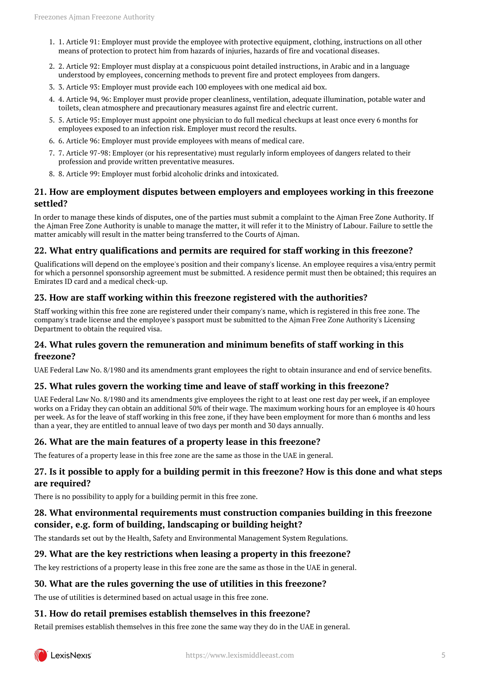- 1. 1. Article 91: Employer must provide the employee with protective equipment, clothing, instructions on all other means of protection to protect him from hazards of injuries, hazards of fire and vocational diseases.
- 2. 2. Article 92: Employer must display at a conspicuous point detailed instructions, in Arabic and in a language understood by employees, concerning methods to prevent fire and protect employees from dangers.
- 3. 3. Article 93: Employer must provide each 100 employees with one medical aid box.
- 4. 4. Article 94, 96: Employer must provide proper cleanliness, ventilation, adequate illumination, potable water and toilets, clean atmosphere and precautionary measures against fire and electric current.
- 5. 5. Article 95: Employer must appoint one physician to do full medical checkups at least once every 6 months for employees exposed to an infection risk. Employer must record the results.
- 6. 6. Article 96: Employer must provide employees with means of medical care.
- 7. 7. Article 97-98: Employer (or his representative) must regularly inform employees of dangers related to their profession and provide written preventative measures.
- 8. 8. Article 99: Employer must forbid alcoholic drinks and intoxicated.

### <span id="page-4-0"></span>**21. How are employment disputes between employers and employees working in this freezone settled?**

In order to manage these kinds of disputes, one of the parties must submit a complaint to the Ajman Free Zone Authority. If the Ajman Free Zone Authority is unable to manage the matter, it will refer it to the Ministry of Labour. Failure to settle the matter amicably will result in the matter being transferred to the Courts of Ajman.

#### <span id="page-4-1"></span>**22. What entry qualifications and permits are required for staff working in this freezone?**

Qualifications will depend on the employee's position and their company's license. An employee requires a visa/entry permit for which a personnel sponsorship agreement must be submitted. A residence permit must then be obtained; this requires an Emirates ID card and a medical check-up.

#### <span id="page-4-2"></span>**23. How are staff working within this freezone registered with the authorities?**

Staff working within this free zone are registered under their company's name, which is registered in this free zone. The company's trade license and the employee's passport must be submitted to the Ajman Free Zone Authority's Licensing Department to obtain the required visa.

#### <span id="page-4-3"></span>**24. What rules govern the remuneration and minimum benefits of staff working in this freezone?**

UAE Federal Law No. 8/1980 and its amendments grant employees the right to obtain insurance and end of service benefits.

#### <span id="page-4-4"></span>**25. What rules govern the working time and leave of staff working in this freezone?**

UAE Federal Law No. 8/1980 and its amendments give employees the right to at least one rest day per week, if an employee works on a Friday they can obtain an additional 50% of their wage. The maximum working hours for an employee is 40 hours per week. As for the leave of staff working in this free zone, if they have been employment for more than 6 months and less than a year, they are entitled to annual leave of two days per month and 30 days annually.

#### <span id="page-4-5"></span>**26. What are the main features of a property lease in this freezone?**

The features of a property lease in this free zone are the same as those in the UAE in general.

## <span id="page-4-6"></span>**27. Is it possible to apply for a building permit in this freezone? How is this done and what steps are required?**

There is no possibility to apply for a building permit in this free zone.

## <span id="page-4-7"></span>**28. What environmental requirements must construction companies building in this freezone consider, e.g. form of building, landscaping or building height?**

The standards set out by the Health, Safety and Environmental Management System Regulations.

#### <span id="page-4-8"></span>**29. What are the key restrictions when leasing a property in this freezone?**

The key restrictions of a property lease in this free zone are the same as those in the UAE in general.

#### <span id="page-4-9"></span>**30. What are the rules governing the use of utilities in this freezone?**

The use of utilities is determined based on actual usage in this free zone.

#### <span id="page-4-10"></span>**31. How do retail premises establish themselves in this freezone?**

Retail premises establish themselves in this free zone the same way they do in the UAE in general.

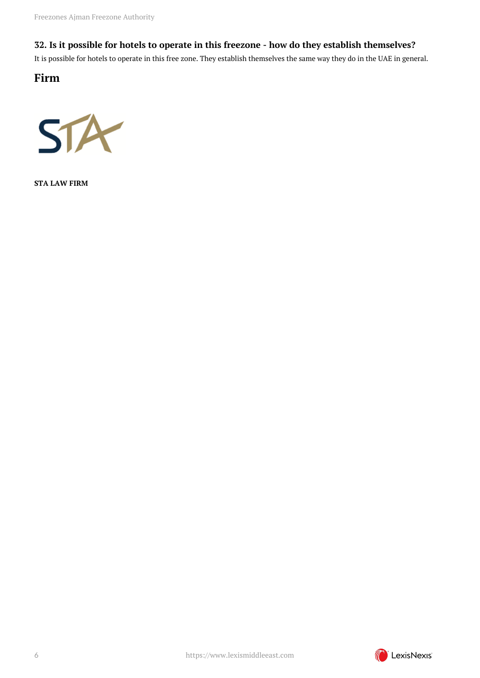## <span id="page-5-0"></span>**32. Is it possible for hotels to operate in this freezone - how do they establish themselves?**

It is possible for hotels to operate in this free zone. They establish themselves the same way they do in the UAE in general.

<span id="page-5-1"></span>**Firm**



**STA LAW FIRM**